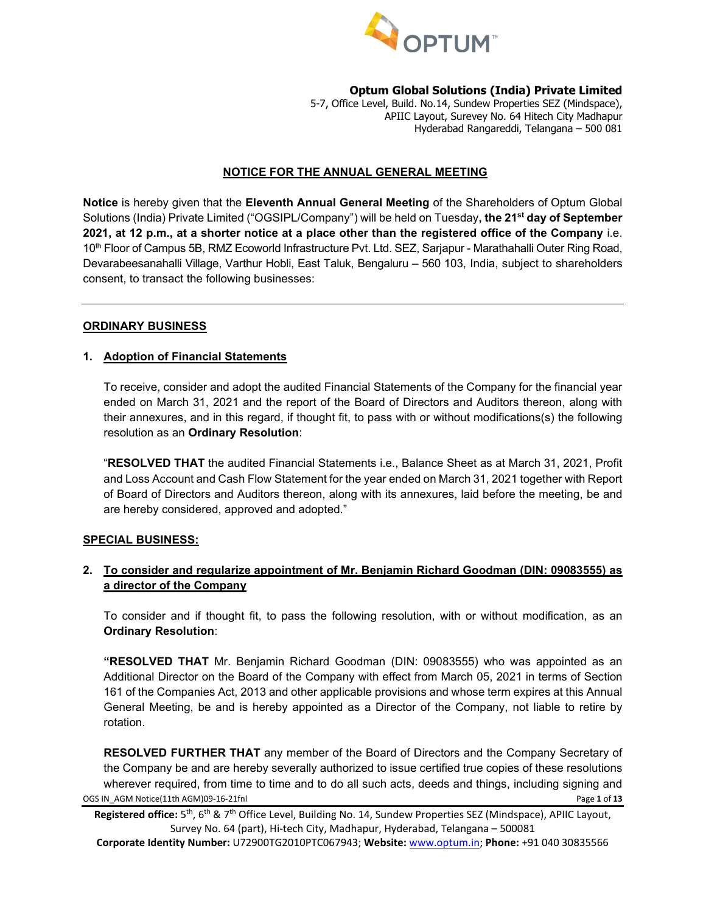

5-7, Office Level, Build. No.14, Sundew Properties SEZ (Mindspace), APIIC Layout, Surevey No. 64 Hitech City Madhapur Hyderabad Rangareddi, Telangana – 500 081

#### **NOTICE FOR THE ANNUAL GENERAL MEETING**

**Notice** is hereby given that the **Eleventh Annual General Meeting** of the Shareholders of Optum Global Solutions (India) Private Limited ("OGSIPL/Company") will be held on Tuesday**, the 21st day of September 2021, at 12 p.m., at a shorter notice at a place other than the registered office of the Company** i.e. 10th Floor of Campus 5B, RMZ Ecoworld Infrastructure Pvt. Ltd. SEZ, Sarjapur - Marathahalli Outer Ring Road, Devarabeesanahalli Village, Varthur Hobli, East Taluk, Bengaluru – 560 103, India, subject to shareholders consent, to transact the following businesses:

## **ORDINARY BUSINESS**

## **1. Adoption of Financial Statements**

To receive, consider and adopt the audited Financial Statements of the Company for the financial year ended on March 31, 2021 and the report of the Board of Directors and Auditors thereon, along with their annexures, and in this regard, if thought fit, to pass with or without modifications(s) the following resolution as an **Ordinary Resolution**:

"**RESOLVED THAT** the audited Financial Statements i.e., Balance Sheet as at March 31, 2021, Profit and Loss Account and Cash Flow Statement for the year ended on March 31, 2021 together with Report of Board of Directors and Auditors thereon, along with its annexures, laid before the meeting, be and are hereby considered, approved and adopted."

#### **SPECIAL BUSINESS:**

## **2. To consider and regularize appointment of Mr. Benjamin Richard Goodman (DIN: [09083555\)](https://mca.gov.in/mcafoportal/companyLLPMasterData.do) as a director of the Company**

To consider and if thought fit, to pass the following resolution, with or without modification, as an **Ordinary Resolution**:

**"RESOLVED THAT** Mr. Benjamin Richard Goodman (DIN: [09083555\)](https://mca.gov.in/mcafoportal/companyLLPMasterData.do) who was appointed as an Additional Director on the Board of the Company with effect from March 05, 2021 in terms of Section 161 of the Companies Act, 2013 and other applicable provisions and whose term expires at this Annual General Meeting, be and is hereby appointed as a Director of the Company, not liable to retire by rotation.

OGS IN\_AGM Notice(11th AGM)09-16-21fnl Page **1** of **13 RESOLVED FURTHER THAT** any member of the Board of Directors and the Company Secretary of the Company be and are hereby severally authorized to issue certified true copies of these resolutions wherever required, from time to time and to do all such acts, deeds and things, including signing and

**Registered office:** 5th, 6th & 7th Office Level, Building No. 14, Sundew Properties SEZ (Mindspace), APIIC Layout, Survey No. 64 (part), Hi-tech City, Madhapur, Hyderabad, Telangana – 500081

**Corporate Identity Number:** U72900TG2010PTC067943; **Website:** [www.optum.in;](http://www.optum.in/) **Phone:** +91 040 30835566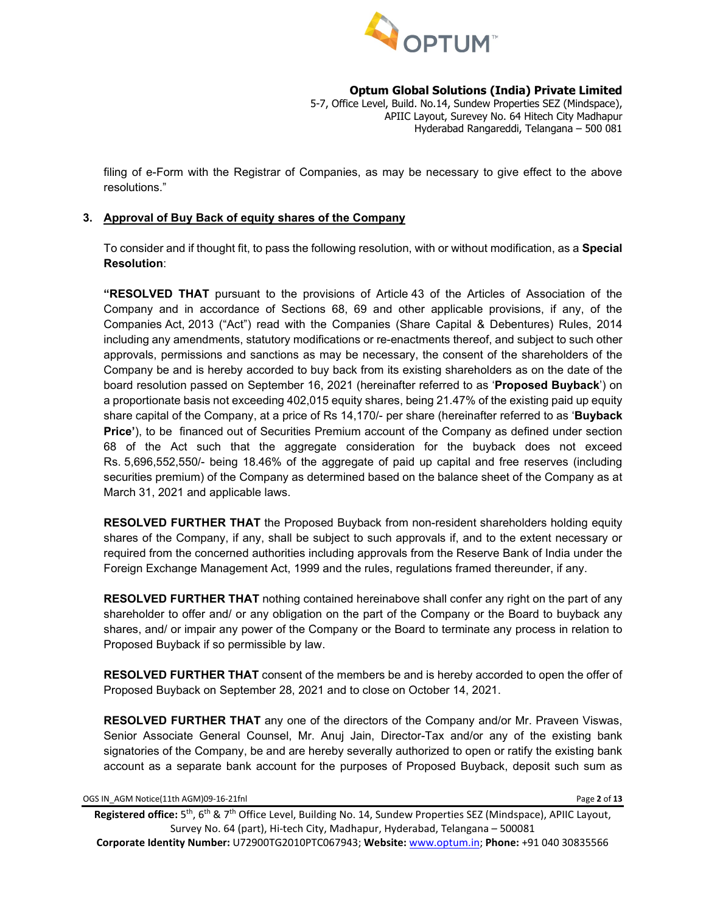

5-7, Office Level, Build. No.14, Sundew Properties SEZ (Mindspace), APIIC Layout, Surevey No. 64 Hitech City Madhapur Hyderabad Rangareddi, Telangana – 500 081

filing of e-Form with the Registrar of Companies, as may be necessary to give effect to the above resolutions."

## **3. Approval of Buy Back of equity shares of the Company**

To consider and if thought fit, to pass the following resolution, with or without modification, as a **Special Resolution**:

**"RESOLVED THAT** pursuant to the provisions of Article 43 of the Articles of Association of the Company and in accordance of Sections 68, 69 and other applicable provisions, if any, of the Companies Act, 2013 ("Act") read with the Companies (Share Capital & Debentures) Rules, 2014 including any amendments, statutory modifications or re-enactments thereof, and subject to such other approvals, permissions and sanctions as may be necessary, the consent of the shareholders of the Company be and is hereby accorded to buy back from its existing shareholders as on the date of the board resolution passed on September 16, 2021 (hereinafter referred to as '**Proposed Buyback**') on a proportionate basis not exceeding 402,015 equity shares, being 21.47% of the existing paid up equity share capital of the Company, at a price of Rs 14,170/- per share (hereinafter referred to as '**Buyback Price'**), to be financed out of Securities Premium account of the Company as defined under section 68 of the Act such that the aggregate consideration for the buyback does not exceed Rs. 5,696,552,550/- being 18.46% of the aggregate of paid up capital and free reserves (including securities premium) of the Company as determined based on the balance sheet of the Company as at March 31, 2021 and applicable laws.

**RESOLVED FURTHER THAT** the Proposed Buyback from non-resident shareholders holding equity shares of the Company, if any, shall be subject to such approvals if, and to the extent necessary or required from the concerned authorities including approvals from the Reserve Bank of India under the Foreign Exchange Management Act, 1999 and the rules, regulations framed thereunder, if any.

**RESOLVED FURTHER THAT** nothing contained hereinabove shall confer any right on the part of any shareholder to offer and/ or any obligation on the part of the Company or the Board to buyback any shares, and/ or impair any power of the Company or the Board to terminate any process in relation to Proposed Buyback if so permissible by law.

**RESOLVED FURTHER THAT** consent of the members be and is hereby accorded to open the offer of Proposed Buyback on September 28, 2021 and to close on October 14, 2021.

**RESOLVED FURTHER THAT** any one of the directors of the Company and/or Mr. Praveen Viswas, Senior Associate General Counsel, Mr. Anuj Jain, Director-Tax and/or any of the existing bank signatories of the Company, be and are hereby severally authorized to open or ratify the existing bank account as a separate bank account for the purposes of Proposed Buyback, deposit such sum as

OGS IN\_AGM Notice(11th AGM)09-16-21fnl Page **2** of **13**

**Registered office:** 5th, 6th & 7th Office Level, Building No. 14, Sundew Properties SEZ (Mindspace), APIIC Layout, Survey No. 64 (part), Hi-tech City, Madhapur, Hyderabad, Telangana – 500081 **Corporate Identity Number:** U72900TG2010PTC067943; **Website:** [www.optum.in;](http://www.optum.in/) **Phone:** +91 040 30835566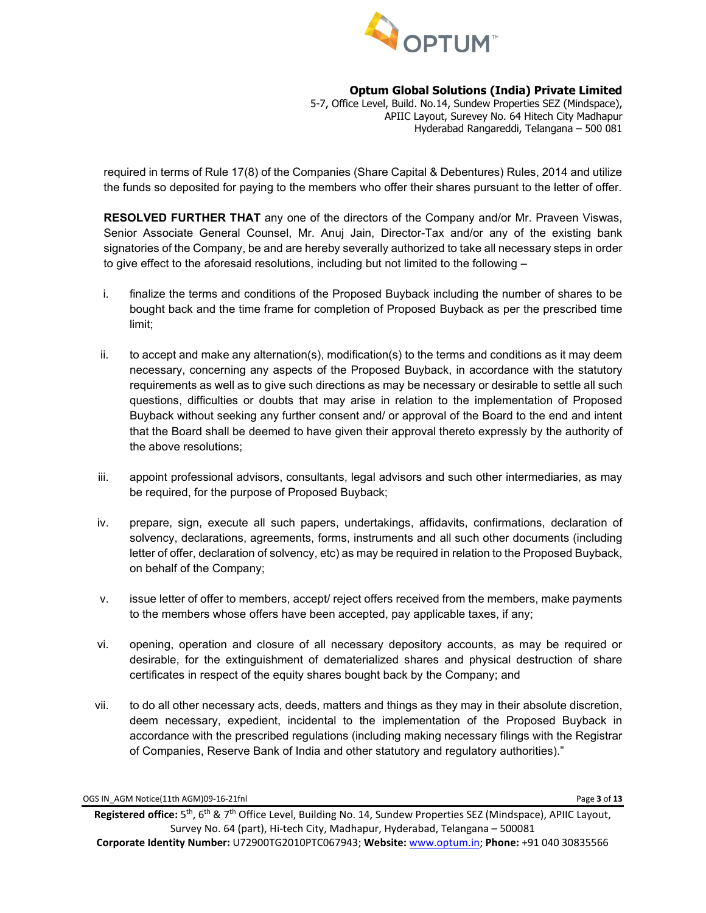

5-7, Office Level, Build. No.14, Sundew Properties SEZ (Mindspace), APIIC Layout, Surevey No. 64 Hitech City Madhapur Hyderabad Rangareddi, Telangana – 500 081

required in terms of Rule 17(8) of the Companies (Share Capital & Debentures) Rules, 2014 and utilize the funds so deposited for paying to the members who offer their shares pursuant to the letter of offer.

**RESOLVED FURTHER THAT** any one of the directors of the Company and/or Mr. Praveen Viswas, Senior Associate General Counsel, Mr. Anuj Jain, Director-Tax and/or any of the existing bank signatories of the Company, be and are hereby severally authorized to take all necessary steps in order to give effect to the aforesaid resolutions, including but not limited to the following –

- i. finalize the terms and conditions of the Proposed Buyback including the number of shares to be bought back and the time frame for completion of Proposed Buyback as per the prescribed time limit;
- ii. to accept and make any alternation(s), modification(s) to the terms and conditions as it may deem necessary, concerning any aspects of the Proposed Buyback, in accordance with the statutory requirements as well as to give such directions as may be necessary or desirable to settle all such questions, difficulties or doubts that may arise in relation to the implementation of Proposed Buyback without seeking any further consent and/ or approval of the Board to the end and intent that the Board shall be deemed to have given their approval thereto expressly by the authority of the above resolutions;
- iii. appoint professional advisors, consultants, legal advisors and such other intermediaries, as may be required, for the purpose of Proposed Buyback;
- iv. prepare, sign, execute all such papers, undertakings, affidavits, confirmations, declaration of solvency, declarations, agreements, forms, instruments and all such other documents (including letter of offer, declaration of solvency, etc) as may be required in relation to the Proposed Buyback, on behalf of the Company;
- v. issue letter of offer to members, accept/ reject offers received from the members, make payments to the members whose offers have been accepted, pay applicable taxes, if any;
- vi. opening, operation and closure of all necessary depository accounts, as may be required or desirable, for the extinguishment of dematerialized shares and physical destruction of share certificates in respect of the equity shares bought back by the Company; and
- vii. to do all other necessary acts, deeds, matters and things as they may in their absolute discretion, deem necessary, expedient, incidental to the implementation of the Proposed Buyback in accordance with the prescribed regulations (including making necessary filings with the Registrar of Companies, Reserve Bank of India and other statutory and regulatory authorities)."

OGS IN\_AGM Notice(11th AGM)09-16-21fnl Page **3** of **13**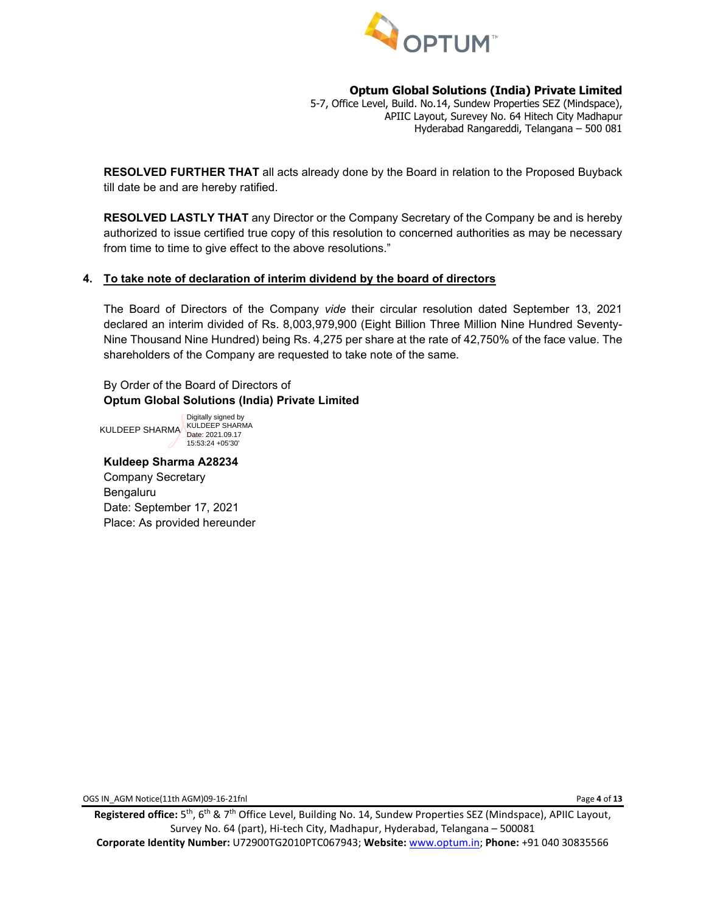

5-7, Office Level, Build. No.14, Sundew Properties SEZ (Mindspace), APIIC Layout, Surevey No. 64 Hitech City Madhapur Hyderabad Rangareddi, Telangana – 500 081

**RESOLVED FURTHER THAT** all acts already done by the Board in relation to the Proposed Buyback till date be and are hereby ratified.

**RESOLVED LASTLY THAT** any Director or the Company Secretary of the Company be and is hereby authorized to issue certified true copy of this resolution to concerned authorities as may be necessary from time to time to give effect to the above resolutions."

## **4. To take note of declaration of interim dividend by the board of directors**

The Board of Directors of the Company *vide* their circular resolution dated September 13, 2021 declared an interim divided of Rs. 8,003,979,900 (Eight Billion Three Million Nine Hundred Seventy-Nine Thousand Nine Hundred) being Rs. 4,275 per share at the rate of 42,750% of the face value. The shareholders of the Company are requested to take note of the same.

By Order of the Board of Directors of **Optum Global Solutions (India) Private Limited**

KULDEEP SHARMA KULDEEP SHARMA Digitally signed by Date: 2021.09.17 15:53:24 +05'30'

# **Kuldeep Sharma A28234**

Company Secretary Bengaluru Date: September 17, 2021 Place: As provided hereunder

OGS IN\_AGM Notice(11th AGM)09-16-21fnl Page **4** of **13**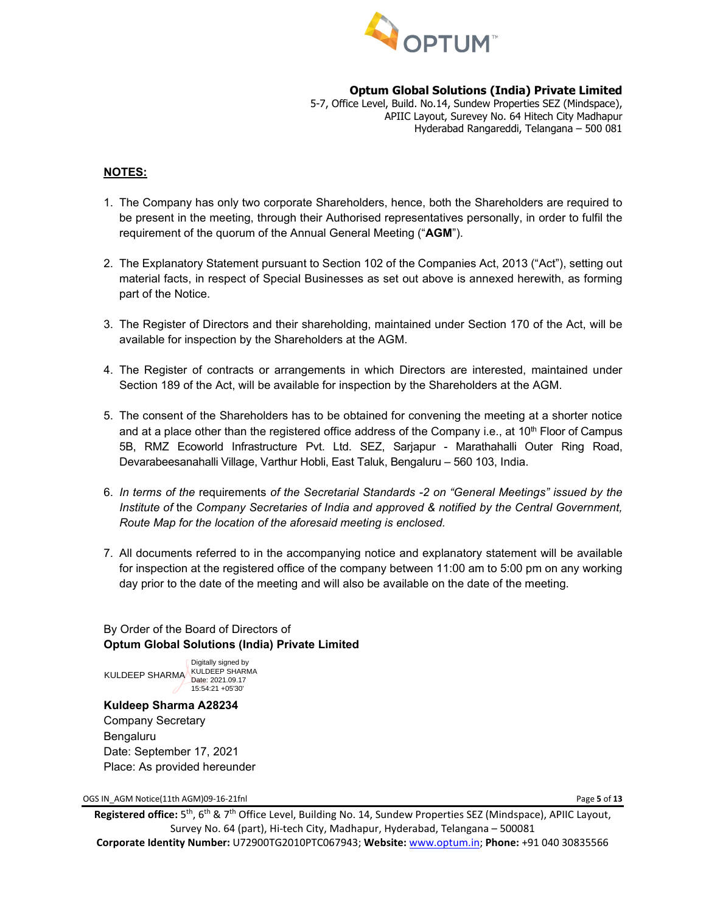

5-7, Office Level, Build. No.14, Sundew Properties SEZ (Mindspace), APIIC Layout, Surevey No. 64 Hitech City Madhapur Hyderabad Rangareddi, Telangana – 500 081

#### **NOTES:**

- 1. The Company has only two corporate Shareholders, hence, both the Shareholders are required to be present in the meeting, through their Authorised representatives personally, in order to fulfil the requirement of the quorum of the Annual General Meeting ("**AGM**").
- 2. The Explanatory Statement pursuant to Section 102 of the Companies Act, 2013 ("Act"), setting out material facts, in respect of Special Businesses as set out above is annexed herewith, as forming part of the Notice.
- 3. The Register of Directors and their shareholding, maintained under Section 170 of the Act, will be available for inspection by the Shareholders at the AGM.
- 4. The Register of contracts or arrangements in which Directors are interested, maintained under Section 189 of the Act, will be available for inspection by the Shareholders at the AGM.
- 5. The consent of the Shareholders has to be obtained for convening the meeting at a shorter notice and at a place other than the registered office address of the Company i.e., at  $10<sup>th</sup>$  Floor of Campus 5B, RMZ Ecoworld Infrastructure Pvt. Ltd. SEZ, Sarjapur - Marathahalli Outer Ring Road, Devarabeesanahalli Village, Varthur Hobli, East Taluk, Bengaluru – 560 103, India.
- 6. *In terms of the* requirements *of the Secretarial Standards -2 on "General Meetings" issued by the Institute of* the *Company Secretaries of India and approved & notified by the Central Government, Route Map for the location of the aforesaid meeting is enclosed.*
- 7. All documents referred to in the accompanying notice and explanatory statement will be available for inspection at the registered office of the company between 11:00 am to 5:00 pm on any working day prior to the date of the meeting and will also be available on the date of the meeting.

## By Order of the Board of Directors of **Optum Global Solutions (India) Private Limited**

KULDEEP SHARMA KULDEEP SHARMA Date: 2021.09.17 Digitally signed by 15:54:21 +05'30'

#### **Kuldeep Sharma A28234** Company Secretary

Bengaluru Date: September 17, 2021 Place: As provided hereunder

OGS IN\_AGM Notice(11th AGM)09-16-21fnl Page **5** of **13**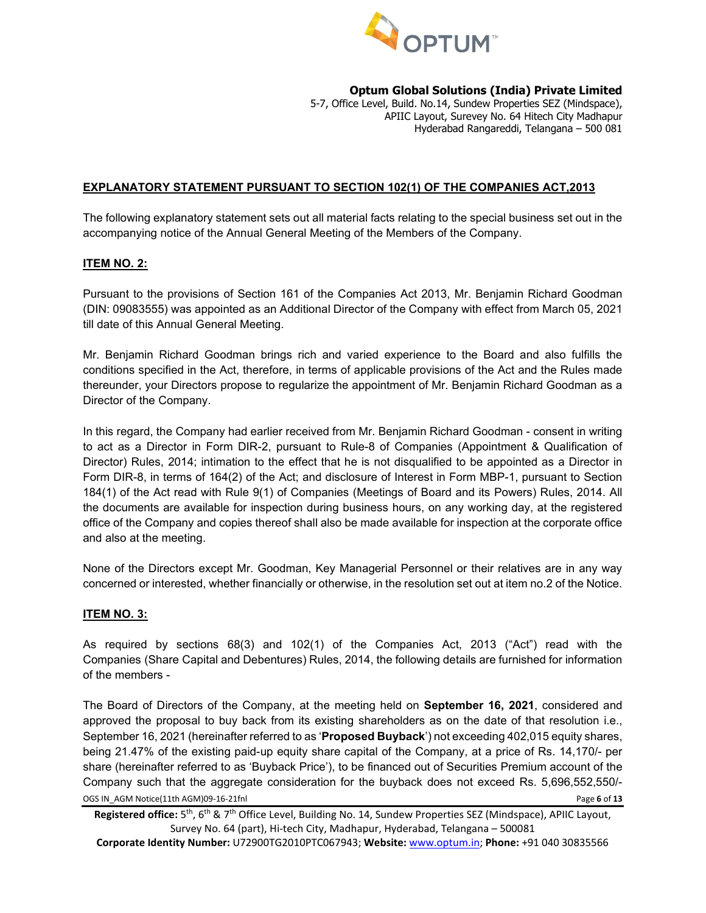

5-7, Office Level, Build. No.14, Sundew Properties SEZ (Mindspace), APIIC Layout, Surevey No. 64 Hitech City Madhapur Hyderabad Rangareddi, Telangana – 500 081

## **EXPLANATORY STATEMENT PURSUANT TO SECTION 102(1) OF THE COMPANIES ACT,2013**

The following explanatory statement sets out all material facts relating to the special business set out in the accompanying notice of the Annual General Meeting of the Members of the Company.

## **ITEM NO. 2:**

Pursuant to the provisions of Section 161 of the Companies Act 2013, Mr. Benjamin Richard Goodman (DIN: [09083555\)](https://mca.gov.in/mcafoportal/companyLLPMasterData.do) was appointed as an Additional Director of the Company with effect from March 05, 2021 till date of this Annual General Meeting.

Mr. Benjamin Richard Goodman brings rich and varied experience to the Board and also fulfills the conditions specified in the Act, therefore, in terms of applicable provisions of the Act and the Rules made thereunder, your Directors propose to regularize the appointment of Mr. Benjamin Richard Goodman as a Director of the Company.

In this regard, the Company had earlier received from Mr. Benjamin Richard Goodman - consent in writing to act as a Director in Form DIR-2, pursuant to Rule-8 of Companies (Appointment & Qualification of Director) Rules, 2014; intimation to the effect that he is not disqualified to be appointed as a Director in Form DIR-8, in terms of 164(2) of the Act; and disclosure of Interest in Form MBP-1, pursuant to Section 184(1) of the Act read with Rule 9(1) of Companies (Meetings of Board and its Powers) Rules, 2014. All the documents are available for inspection during business hours, on any working day, at the registered office of the Company and copies thereof shall also be made available for inspection at the corporate office and also at the meeting.

None of the Directors except Mr. Goodman, Key Managerial Personnel or their relatives are in any way concerned or interested, whether financially or otherwise, in the resolution set out at item no.2 of the Notice.

#### **ITEM NO. 3:**

As required by sections 68(3) and 102(1) of the Companies Act, 2013 ("Act") read with the Companies (Share Capital and Debentures) Rules, 2014, the following details are furnished for information of the members -

OGS IN\_AGM Notice(11th AGM)09-16-21fnl Page **6** of **13** The Board of Directors of the Company, at the meeting held on **September 16, 2021**, considered and approved the proposal to buy back from its existing shareholders as on the date of that resolution i.e., September 16, 2021 (hereinafter referred to as '**Proposed Buyback**') not exceeding 402,015 equity shares, being 21.47% of the existing paid-up equity share capital of the Company, at a price of Rs. 14,170/- per share (hereinafter referred to as 'Buyback Price'), to be financed out of Securities Premium account of the Company such that the aggregate consideration for the buyback does not exceed Rs. 5,696,552,550/-

**Corporate Identity Number:** U72900TG2010PTC067943; **Website:** [www.optum.in;](http://www.optum.in/) **Phone:** +91 040 30835566

**Registered office:** 5th, 6th & 7th Office Level, Building No. 14, Sundew Properties SEZ (Mindspace), APIIC Layout, Survey No. 64 (part), Hi-tech City, Madhapur, Hyderabad, Telangana – 500081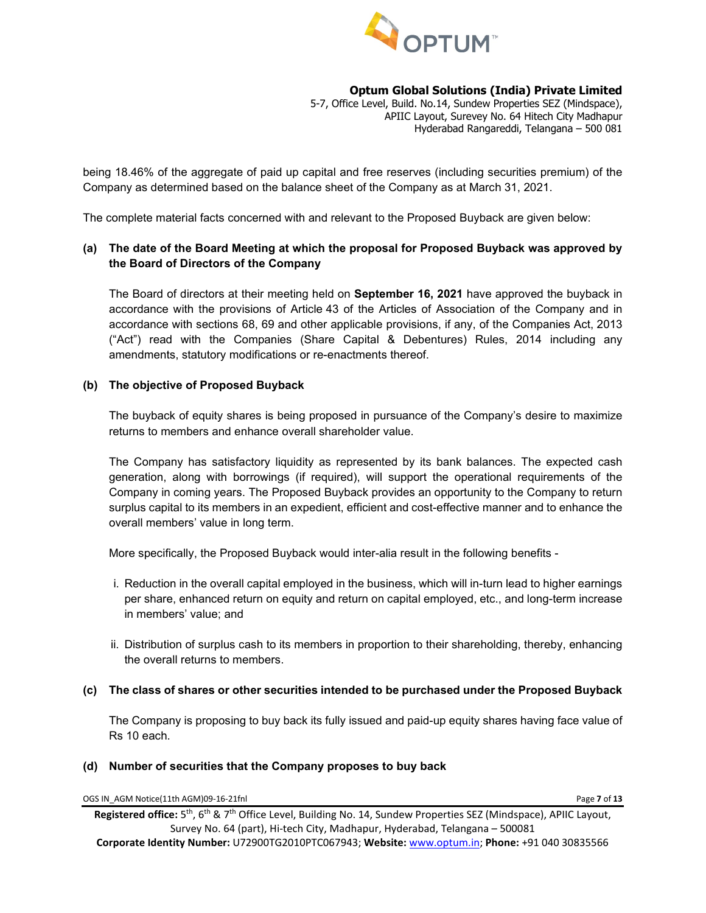

5-7, Office Level, Build. No.14, Sundew Properties SEZ (Mindspace), APIIC Layout, Surevey No. 64 Hitech City Madhapur Hyderabad Rangareddi, Telangana – 500 081

being 18.46% of the aggregate of paid up capital and free reserves (including securities premium) of the Company as determined based on the balance sheet of the Company as at March 31, 2021.

The complete material facts concerned with and relevant to the Proposed Buyback are given below:

## **(a) The date of the Board Meeting at which the proposal for Proposed Buyback was approved by the Board of Directors of the Company**

The Board of directors at their meeting held on **September 16, 2021** have approved the buyback in accordance with the provisions of Article 43 of the Articles of Association of the Company and in accordance with sections 68, 69 and other applicable provisions, if any, of the Companies Act, 2013 ("Act") read with the Companies (Share Capital & Debentures) Rules, 2014 including any amendments, statutory modifications or re-enactments thereof.

#### **(b) The objective of Proposed Buyback**

The buyback of equity shares is being proposed in pursuance of the Company's desire to maximize returns to members and enhance overall shareholder value.

The Company has satisfactory liquidity as represented by its bank balances. The expected cash generation, along with borrowings (if required), will support the operational requirements of the Company in coming years. The Proposed Buyback provides an opportunity to the Company to return surplus capital to its members in an expedient, efficient and cost-effective manner and to enhance the overall members' value in long term.

More specifically, the Proposed Buyback would inter-alia result in the following benefits -

- i. Reduction in the overall capital employed in the business, which will in-turn lead to higher earnings per share, enhanced return on equity and return on capital employed, etc., and long-term increase in members' value; and
- ii. Distribution of surplus cash to its members in proportion to their shareholding, thereby, enhancing the overall returns to members.

#### **(c) The class of shares or other securities intended to be purchased under the Proposed Buyback**

The Company is proposing to buy back its fully issued and paid-up equity shares having face value of Rs 10 each.

#### **(d) Number of securities that the Company proposes to buy back**

OGS IN\_AGM Notice(11th AGM)09-16-21fnl Page **7** of **13**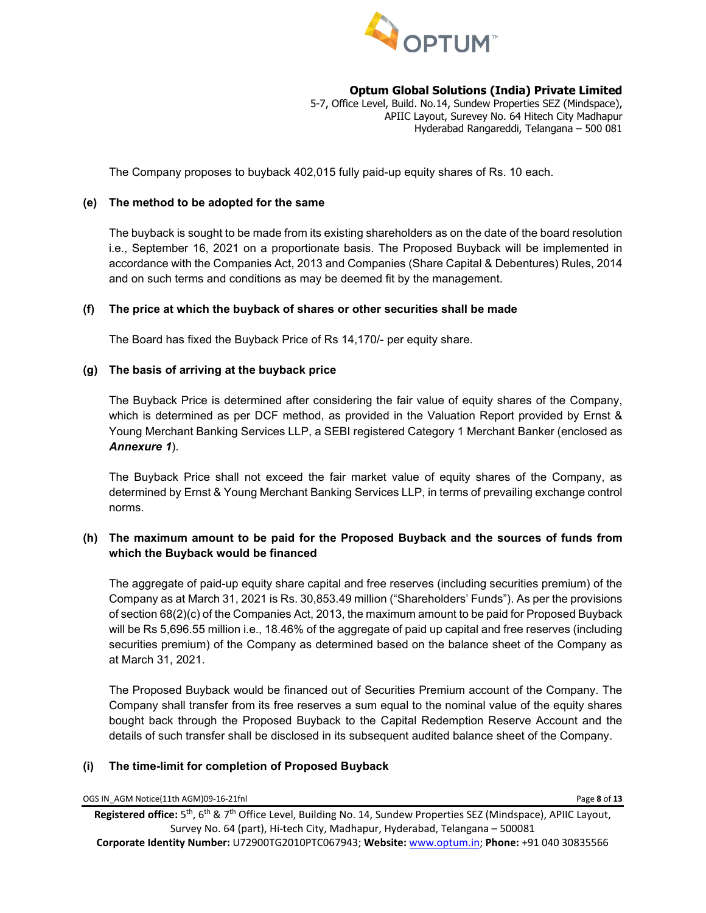

5-7, Office Level, Build. No.14, Sundew Properties SEZ (Mindspace), APIIC Layout, Surevey No. 64 Hitech City Madhapur Hyderabad Rangareddi, Telangana – 500 081

The Company proposes to buyback 402,015 fully paid-up equity shares of Rs. 10 each.

#### **(e) The method to be adopted for the same**

The buyback is sought to be made from its existing shareholders as on the date of the board resolution i.e., September 16, 2021 on a proportionate basis. The Proposed Buyback will be implemented in accordance with the Companies Act, 2013 and Companies (Share Capital & Debentures) Rules, 2014 and on such terms and conditions as may be deemed fit by the management.

#### **(f) The price at which the buyback of shares or other securities shall be made**

The Board has fixed the Buyback Price of Rs 14,170/- per equity share.

## **(g) The basis of arriving at the buyback price**

The Buyback Price is determined after considering the fair value of equity shares of the Company, which is determined as per DCF method, as provided in the Valuation Report provided by Ernst & Young Merchant Banking Services LLP, a SEBI registered Category 1 Merchant Banker (enclosed as *Annexure 1*).

The Buyback Price shall not exceed the fair market value of equity shares of the Company, as determined by Ernst & Young Merchant Banking Services LLP, in terms of prevailing exchange control norms.

## **(h) The maximum amount to be paid for the Proposed Buyback and the sources of funds from which the Buyback would be financed**

The aggregate of paid-up equity share capital and free reserves (including securities premium) of the Company as at March 31, 2021 is Rs. 30,853.49 million ("Shareholders' Funds"). As per the provisions of section 68(2)(c) of the Companies Act, 2013, the maximum amount to be paid for Proposed Buyback will be Rs 5,696.55 million i.e., 18.46% of the aggregate of paid up capital and free reserves (including securities premium) of the Company as determined based on the balance sheet of the Company as at March 31, 2021.

The Proposed Buyback would be financed out of Securities Premium account of the Company. The Company shall transfer from its free reserves a sum equal to the nominal value of the equity shares bought back through the Proposed Buyback to the Capital Redemption Reserve Account and the details of such transfer shall be disclosed in its subsequent audited balance sheet of the Company.

#### **(i) The time-limit for completion of Proposed Buyback**

OGS IN\_AGM Notice(11th AGM)09-16-21fnl Page **8** of **13**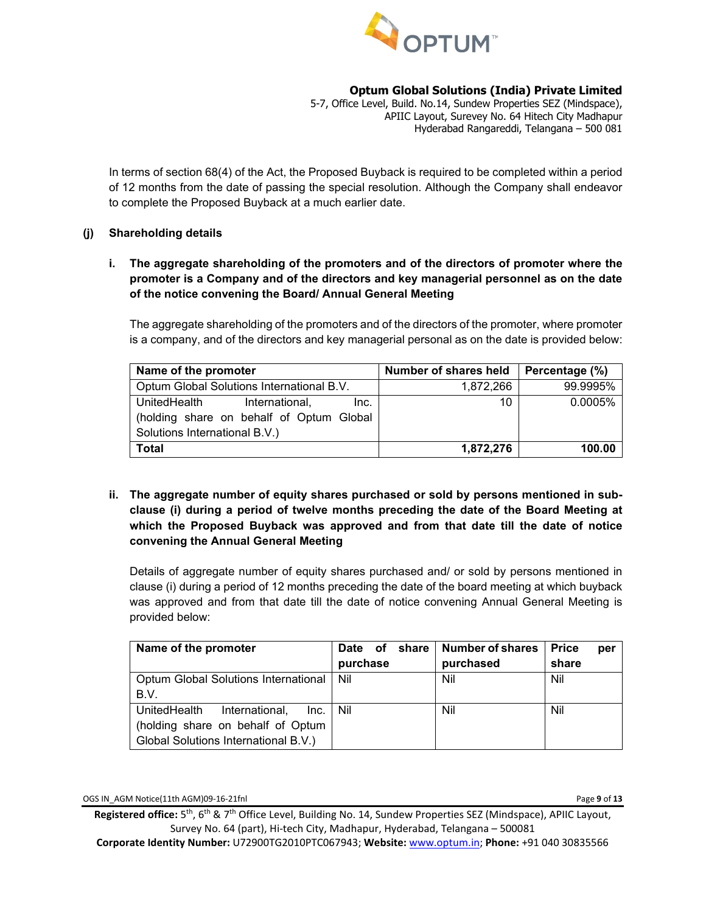

5-7, Office Level, Build. No.14, Sundew Properties SEZ (Mindspace), APIIC Layout, Surevey No. 64 Hitech City Madhapur Hyderabad Rangareddi, Telangana – 500 081

In terms of section 68(4) of the Act, the Proposed Buyback is required to be completed within a period of 12 months from the date of passing the special resolution. Although the Company shall endeavor to complete the Proposed Buyback at a much earlier date.

## **(j) Shareholding details**

## **i. The aggregate shareholding of the promoters and of the directors of promoter where the promoter is a Company and of the directors and key managerial personnel as on the date of the notice convening the Board/ Annual General Meeting**

The aggregate shareholding of the promoters and of the directors of the promoter, where promoter is a company, and of the directors and key managerial personal as on the date is provided below:

| Name of the promoter                      | Number of shares held | Percentage (%) |
|-------------------------------------------|-----------------------|----------------|
| Optum Global Solutions International B.V. | 1,872,266             | 99.9995%       |
| UnitedHealth<br>International,<br>Inc.    | 10                    | 0.0005%        |
| (holding share on behalf of Optum Global  |                       |                |
| Solutions International B.V.)             |                       |                |
| <b>Total</b>                              | 1,872,276             | 100.00         |

## **ii. The aggregate number of equity shares purchased or sold by persons mentioned in subclause (i) during a period of twelve months preceding the date of the Board Meeting at which the Proposed Buyback was approved and from that date till the date of notice convening the Annual General Meeting**

Details of aggregate number of equity shares purchased and/ or sold by persons mentioned in clause (i) during a period of 12 months preceding the date of the board meeting at which buyback was approved and from that date till the date of notice convening Annual General Meeting is provided below:

| Name of the promoter                       | Date of  | share   Number of shares | <b>Price</b><br>per |
|--------------------------------------------|----------|--------------------------|---------------------|
|                                            | purchase | purchased                | share               |
| Optum Global Solutions International   Nil |          | Nil                      | Nil                 |
| B.V.                                       |          |                          |                     |
| UnitedHealth<br>International,<br>Inc.     | Nil      | Nil                      | Nil                 |
| (holding share on behalf of Optum          |          |                          |                     |
| Global Solutions International B.V.)       |          |                          |                     |

OGS IN\_AGM Notice(11th AGM)09-16-21fnl Page **9** of **13**

**Registered office:** 5th, 6th & 7th Office Level, Building No. 14, Sundew Properties SEZ (Mindspace), APIIC Layout, Survey No. 64 (part), Hi-tech City, Madhapur, Hyderabad, Telangana – 500081 **Corporate Identity Number:** U72900TG2010PTC067943; **Website:** [www.optum.in;](http://www.optum.in/) **Phone:** +91 040 30835566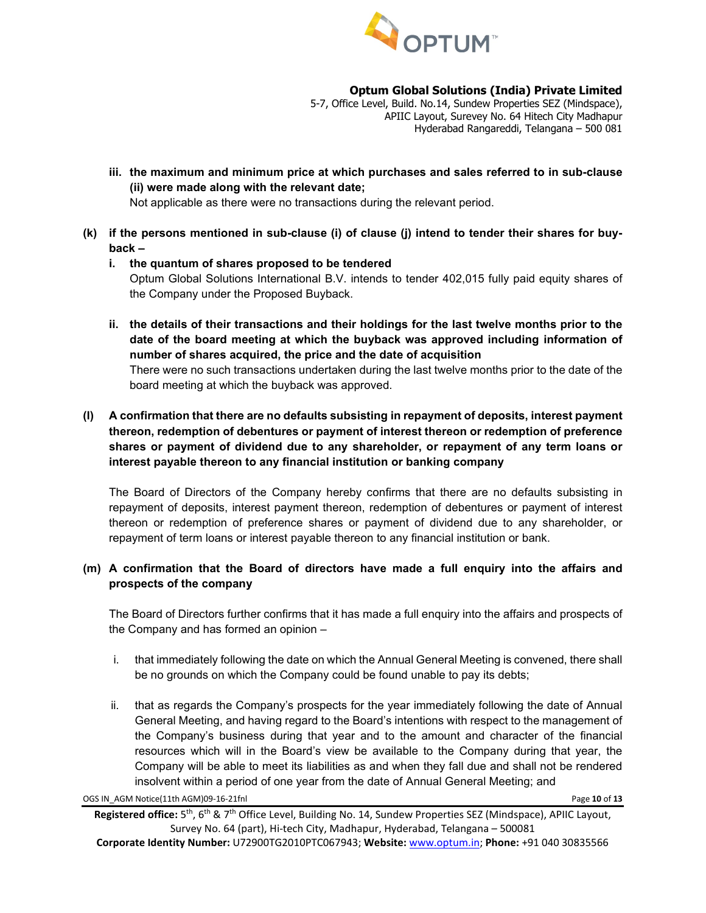

5-7, Office Level, Build. No.14, Sundew Properties SEZ (Mindspace), APIIC Layout, Surevey No. 64 Hitech City Madhapur Hyderabad Rangareddi, Telangana – 500 081

**iii. the maximum and minimum price at which purchases and sales referred to in sub-clause (ii) were made along with the relevant date;**

Not applicable as there were no transactions during the relevant period.

- **(k) if the persons mentioned in sub-clause (i) of clause (j) intend to tender their shares for buyback –**
	- **i. the quantum of shares proposed to be tendered** Optum Global Solutions International B.V. intends to tender 402,015 fully paid equity shares of the Company under the Proposed Buyback.
	- **ii. the details of their transactions and their holdings for the last twelve months prior to the date of the board meeting at which the buyback was approved including information of number of shares acquired, the price and the date of acquisition**

There were no such transactions undertaken during the last twelve months prior to the date of the board meeting at which the buyback was approved.

## **(l) A confirmation that there are no defaults subsisting in repayment of deposits, interest payment thereon, redemption of debentures or payment of interest thereon or redemption of preference shares or payment of dividend due to any shareholder, or repayment of any term loans or interest payable thereon to any financial institution or banking company**

The Board of Directors of the Company hereby confirms that there are no defaults subsisting in repayment of deposits, interest payment thereon, redemption of debentures or payment of interest thereon or redemption of preference shares or payment of dividend due to any shareholder, or repayment of term loans or interest payable thereon to any financial institution or bank.

## **(m) A confirmation that the Board of directors have made a full enquiry into the affairs and prospects of the company**

The Board of Directors further confirms that it has made a full enquiry into the affairs and prospects of the Company and has formed an opinion –

- i. that immediately following the date on which the Annual General Meeting is convened, there shall be no grounds on which the Company could be found unable to pay its debts;
- ii. that as regards the Company's prospects for the year immediately following the date of Annual General Meeting, and having regard to the Board's intentions with respect to the management of the Company's business during that year and to the amount and character of the financial resources which will in the Board's view be available to the Company during that year, the Company will be able to meet its liabilities as and when they fall due and shall not be rendered insolvent within a period of one year from the date of Annual General Meeting; and

OGS IN\_AGM Notice(11th AGM)09-16-21fnl Page **10** of **13**

**Registered office:** 5th, 6th & 7th Office Level, Building No. 14, Sundew Properties SEZ (Mindspace), APIIC Layout, Survey No. 64 (part), Hi-tech City, Madhapur, Hyderabad, Telangana – 500081 **Corporate Identity Number:** U72900TG2010PTC067943; **Website:** [www.optum.in;](http://www.optum.in/) **Phone:** +91 040 30835566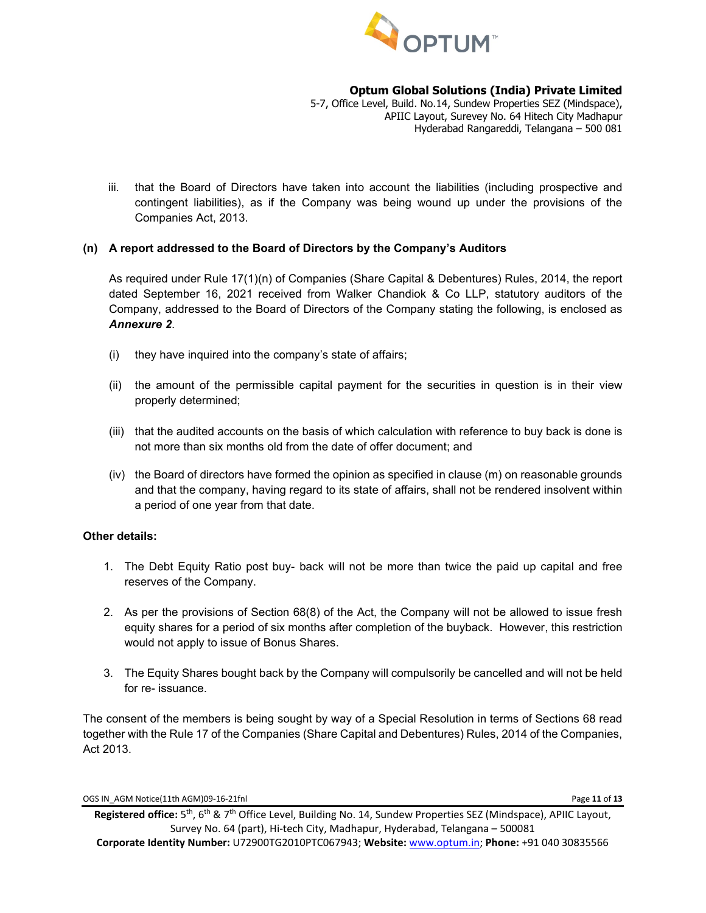

5-7, Office Level, Build. No.14, Sundew Properties SEZ (Mindspace), APIIC Layout, Surevey No. 64 Hitech City Madhapur Hyderabad Rangareddi, Telangana – 500 081

iii. that the Board of Directors have taken into account the liabilities (including prospective and contingent liabilities), as if the Company was being wound up under the provisions of the Companies Act, 2013.

## **(n) A report addressed to the Board of Directors by the Company's Auditors**

As required under Rule 17(1)(n) of Companies (Share Capital & Debentures) Rules, 2014, the report dated September 16, 2021 received from Walker Chandiok & Co LLP, statutory auditors of the Company, addressed to the Board of Directors of the Company stating the following, is enclosed as *Annexure 2*.

- (i) they have inquired into the company's state of affairs;
- (ii) the amount of the permissible capital payment for the securities in question is in their view properly determined;
- (iii) that the audited accounts on the basis of which calculation with reference to buy back is done is not more than six months old from the date of offer document; and
- (iv) the Board of directors have formed the opinion as specified in clause (m) on reasonable grounds and that the company, having regard to its state of affairs, shall not be rendered insolvent within a period of one year from that date.

#### **Other details:**

- 1. The Debt Equity Ratio post buy- back will not be more than twice the paid up capital and free reserves of the Company.
- 2. As per the provisions of Section 68(8) of the Act, the Company will not be allowed to issue fresh equity shares for a period of six months after completion of the buyback. However, this restriction would not apply to issue of Bonus Shares.
- 3. The Equity Shares bought back by the Company will compulsorily be cancelled and will not be held for re- issuance.

The consent of the members is being sought by way of a Special Resolution in terms of Sections 68 read together with the Rule 17 of the Companies (Share Capital and Debentures) Rules, 2014 of the Companies, Act 2013.

OGS IN\_AGM Notice(11th AGM)09-16-21fnl Page **11** of **13**

**Registered office:** 5th, 6th & 7th Office Level, Building No. 14, Sundew Properties SEZ (Mindspace), APIIC Layout, Survey No. 64 (part), Hi-tech City, Madhapur, Hyderabad, Telangana – 500081 **Corporate Identity Number:** U72900TG2010PTC067943; **Website:** [www.optum.in;](http://www.optum.in/) **Phone:** +91 040 30835566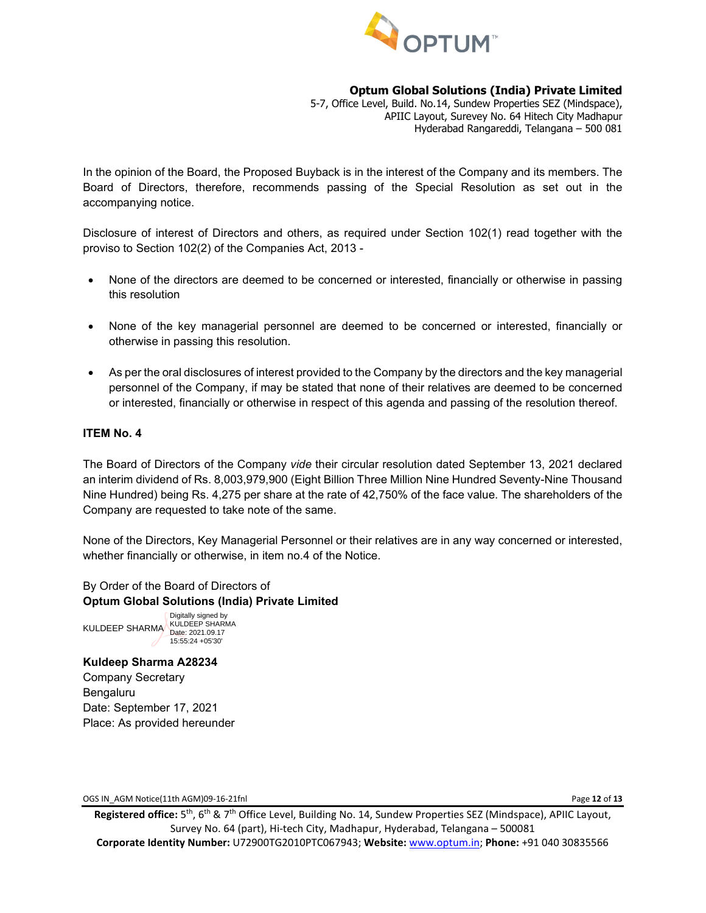

5-7, Office Level, Build. No.14, Sundew Properties SEZ (Mindspace), APIIC Layout, Surevey No. 64 Hitech City Madhapur Hyderabad Rangareddi, Telangana – 500 081

In the opinion of the Board, the Proposed Buyback is in the interest of the Company and its members. The Board of Directors, therefore, recommends passing of the Special Resolution as set out in the accompanying notice.

Disclosure of interest of Directors and others, as required under Section 102(1) read together with the proviso to Section 102(2) of the Companies Act, 2013 -

- None of the directors are deemed to be concerned or interested, financially or otherwise in passing this resolution
- None of the key managerial personnel are deemed to be concerned or interested, financially or otherwise in passing this resolution.
- As per the oral disclosures of interest provided to the Company by the directors and the key managerial personnel of the Company, if may be stated that none of their relatives are deemed to be concerned or interested, financially or otherwise in respect of this agenda and passing of the resolution thereof.

#### **ITEM No. 4**

The Board of Directors of the Company *vide* their circular resolution dated September 13, 2021 declared an interim dividend of Rs. 8,003,979,900 (Eight Billion Three Million Nine Hundred Seventy-Nine Thousand Nine Hundred) being Rs. 4,275 per share at the rate of 42,750% of the face value. The shareholders of the Company are requested to take note of the same.

None of the Directors, Key Managerial Personnel or their relatives are in any way concerned or interested, whether financially or otherwise, in item no.4 of the Notice.

## By Order of the Board of Directors of **Optum Global Solutions (India) Private Limited**

KULDEEP SHARMA KULDEEP SHARMA Date: 2021.09.17 Digitally signed by 15:55:24 +05'30'

**Kuldeep Sharma A28234** Company Secretary Bengaluru Date: September 17, 2021 Place: As provided hereunder

OGS IN\_AGM Notice(11th AGM)09-16-21fnl Page **12** of **13**